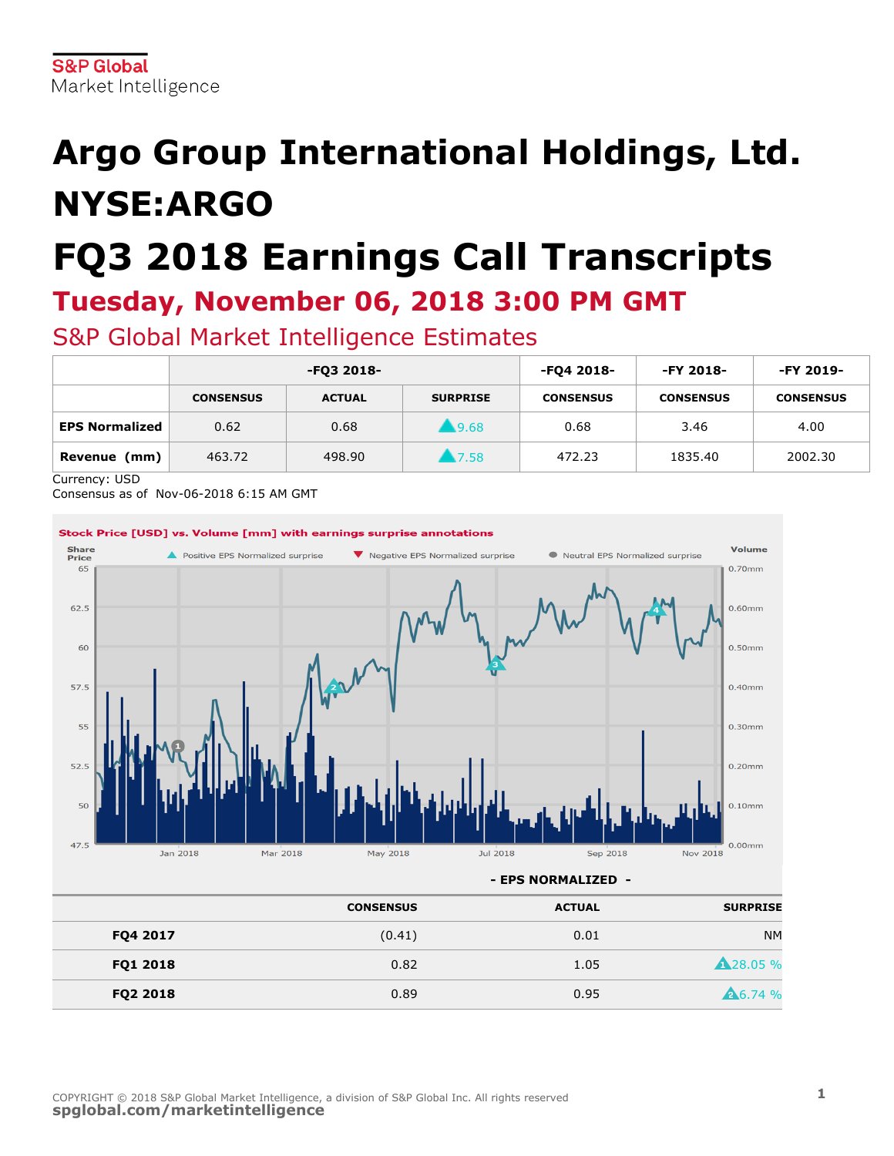# **Argo Group International Holdings, Ltd. NYSE:ARGO**

# **FQ3 2018 Earnings Call Transcripts**

### **Tuesday, November 06, 2018 3:00 PM GMT**

S&P Global Market Intelligence Estimates

|                       | -FQ3 2018-       |               |                     | -FQ4 2018-       | -FY 2018-        | -FY 2019-        |
|-----------------------|------------------|---------------|---------------------|------------------|------------------|------------------|
|                       | <b>CONSENSUS</b> | <b>ACTUAL</b> | <b>SURPRISE</b>     | <b>CONSENSUS</b> | <b>CONSENSUS</b> | <b>CONSENSUS</b> |
| <b>EPS Normalized</b> | 0.62             | 0.68          | $\blacksquare$ 9.68 | 0.68             | 3.46             | 4.00             |
| Revenue (mm)          | 463.72           | 498.90        | 1.7.58              | 472.23           | 1835.40          | 2002.30          |

Currency: USD

Consensus as of Nov-06-2018 6:15 AM GMT



|          | <b>CONSENSUS</b> | <b>ACTUAL</b> | <b>SURPRISE</b>  |
|----------|------------------|---------------|------------------|
| FQ4 2017 | (0.41)           | 0.01          | <b>NM</b>        |
| FQ1 2018 | 0.82             | 1.05          | <b>A</b> 28.05 % |
| FQ2 2018 | 0.89             | 0.95          | 26.74 %          |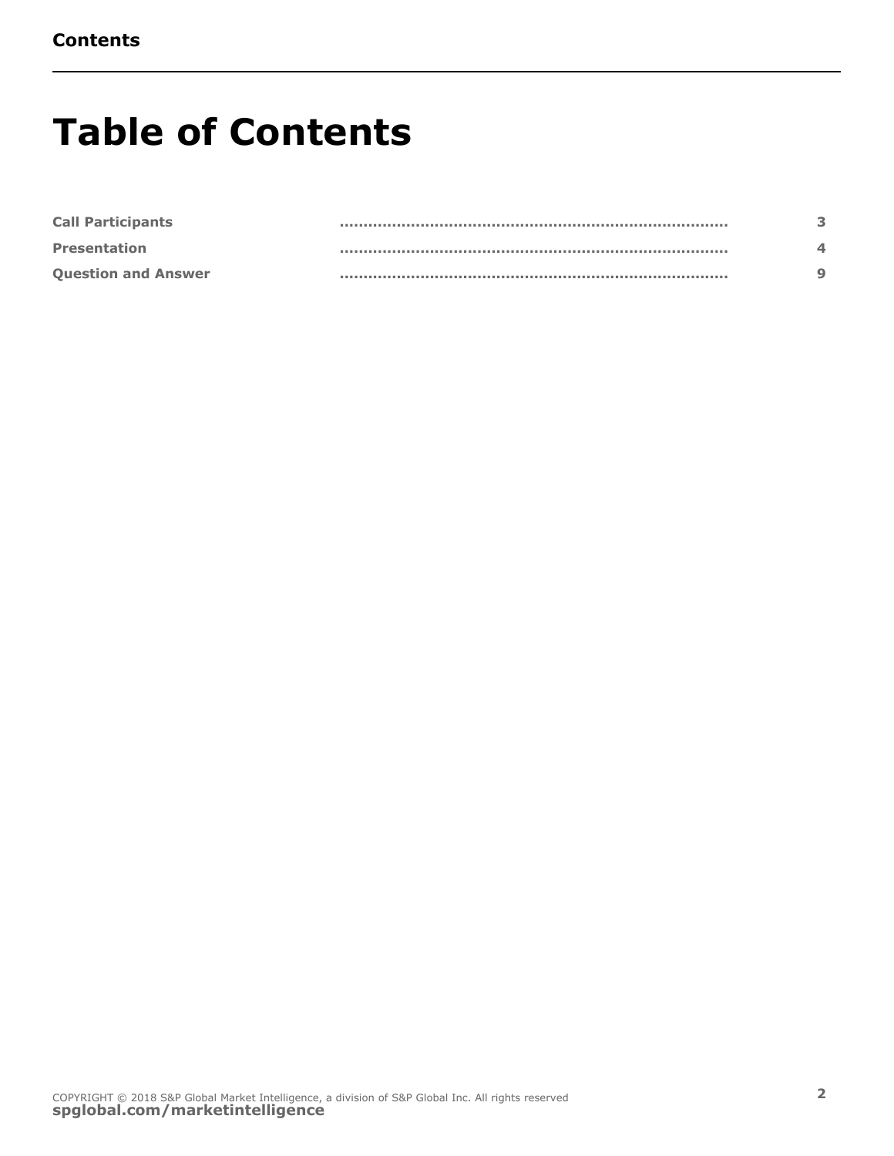### **Table of Contents**

| <b>Call Participants</b>   |  |
|----------------------------|--|
| <b>Presentation</b>        |  |
| <b>Question and Answer</b> |  |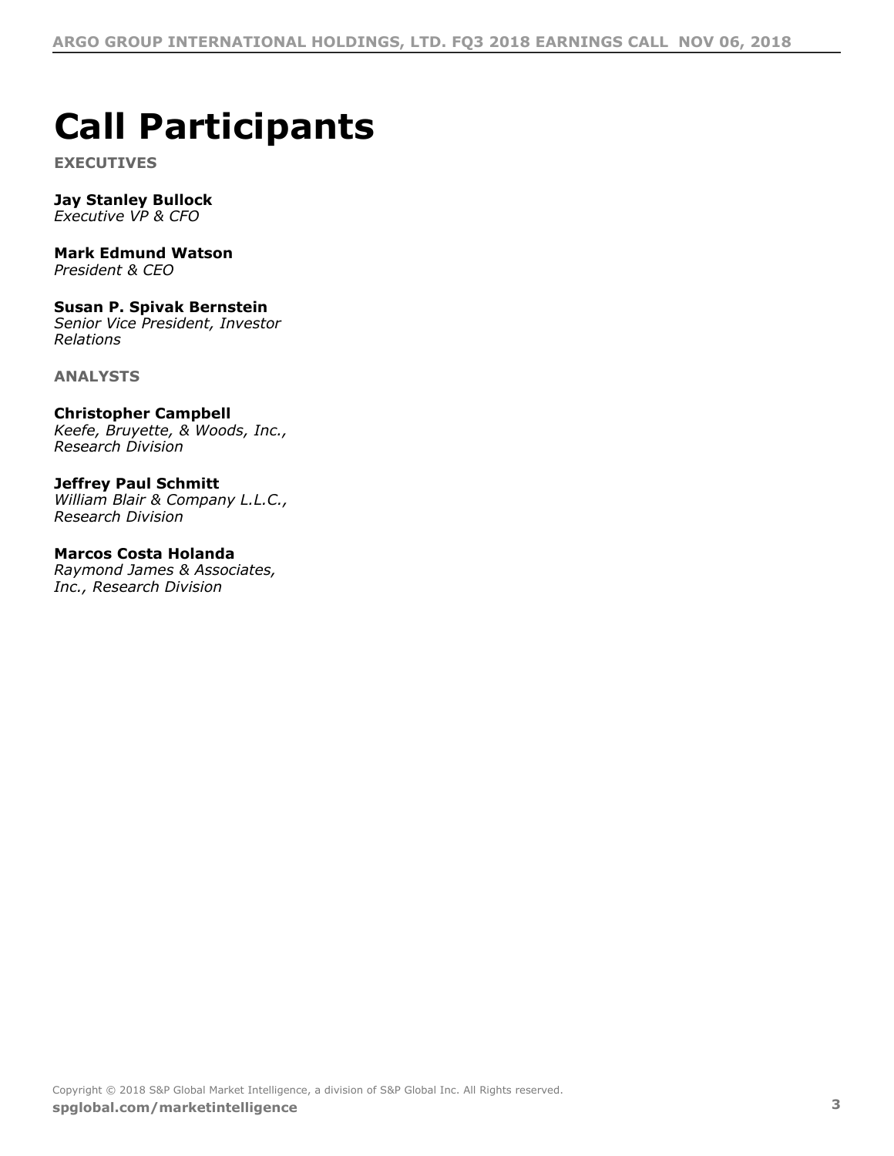## <span id="page-2-0"></span>**Call Participants**

**EXECUTIVES**

#### **Jay Stanley Bullock**

*Executive VP & CFO*

### **Mark Edmund Watson**

*President & CEO*

### **Susan P. Spivak Bernstein**

*Senior Vice President, Investor Relations*

**ANALYSTS**

#### **Christopher Campbell**

*Keefe, Bruyette, & Woods, Inc., Research Division*

#### **Jeffrey Paul Schmitt**

*William Blair & Company L.L.C., Research Division*

#### **Marcos Costa Holanda**

*Raymond James & Associates, Inc., Research Division*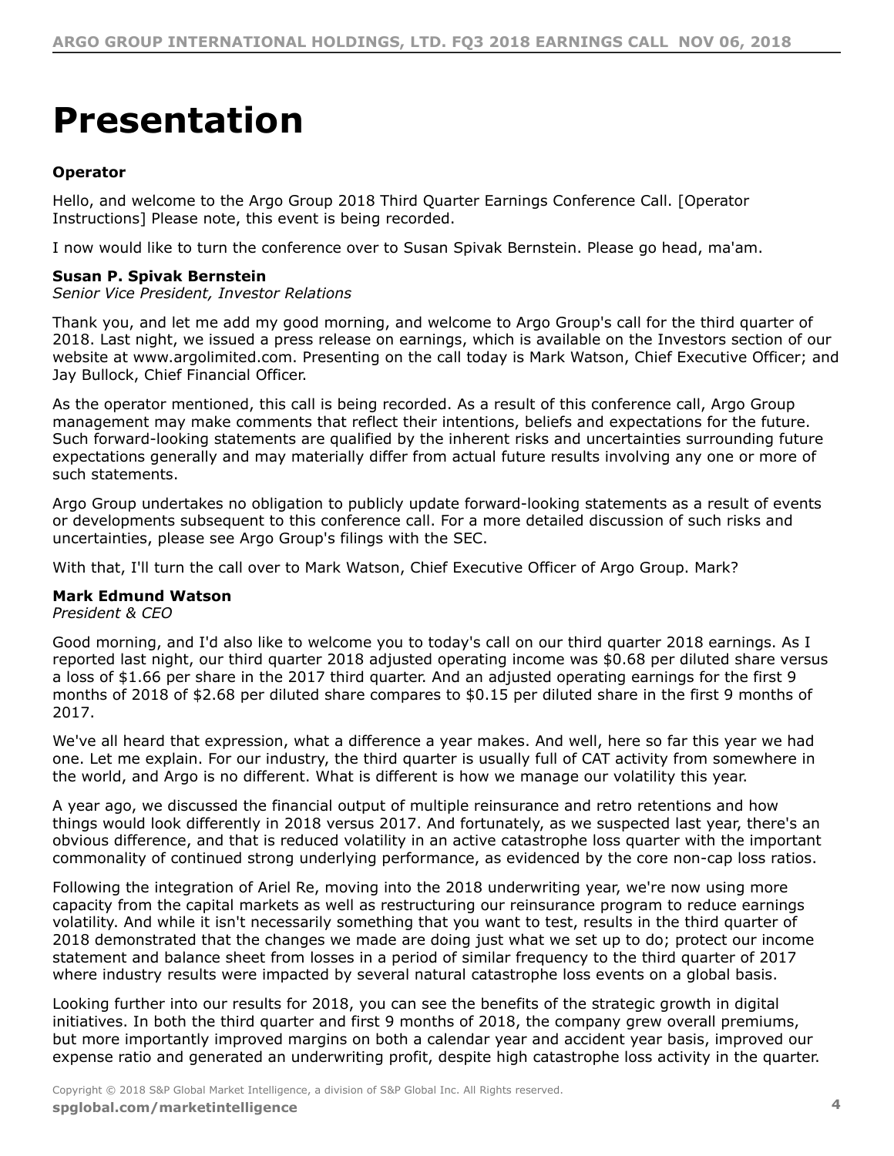## <span id="page-3-0"></span>**Presentation**

#### **Operator**

Hello, and welcome to the Argo Group 2018 Third Quarter Earnings Conference Call. [Operator Instructions] Please note, this event is being recorded.

I now would like to turn the conference over to Susan Spivak Bernstein. Please go head, ma'am.

#### **Susan P. Spivak Bernstein**

*Senior Vice President, Investor Relations*

Thank you, and let me add my good morning, and welcome to Argo Group's call for the third quarter of 2018. Last night, we issued a press release on earnings, which is available on the Investors section of our website at www.argolimited.com. Presenting on the call today is Mark Watson, Chief Executive Officer; and Jay Bullock, Chief Financial Officer.

As the operator mentioned, this call is being recorded. As a result of this conference call, Argo Group management may make comments that reflect their intentions, beliefs and expectations for the future. Such forward-looking statements are qualified by the inherent risks and uncertainties surrounding future expectations generally and may materially differ from actual future results involving any one or more of such statements.

Argo Group undertakes no obligation to publicly update forward-looking statements as a result of events or developments subsequent to this conference call. For a more detailed discussion of such risks and uncertainties, please see Argo Group's filings with the SEC.

With that, I'll turn the call over to Mark Watson, Chief Executive Officer of Argo Group. Mark?

#### **Mark Edmund Watson**

*President & CEO*

Good morning, and I'd also like to welcome you to today's call on our third quarter 2018 earnings. As I reported last night, our third quarter 2018 adjusted operating income was \$0.68 per diluted share versus a loss of \$1.66 per share in the 2017 third quarter. And an adjusted operating earnings for the first 9 months of 2018 of \$2.68 per diluted share compares to \$0.15 per diluted share in the first 9 months of 2017.

We've all heard that expression, what a difference a year makes. And well, here so far this year we had one. Let me explain. For our industry, the third quarter is usually full of CAT activity from somewhere in the world, and Argo is no different. What is different is how we manage our volatility this year.

A year ago, we discussed the financial output of multiple reinsurance and retro retentions and how things would look differently in 2018 versus 2017. And fortunately, as we suspected last year, there's an obvious difference, and that is reduced volatility in an active catastrophe loss quarter with the important commonality of continued strong underlying performance, as evidenced by the core non-cap loss ratios.

Following the integration of Ariel Re, moving into the 2018 underwriting year, we're now using more capacity from the capital markets as well as restructuring our reinsurance program to reduce earnings volatility. And while it isn't necessarily something that you want to test, results in the third quarter of 2018 demonstrated that the changes we made are doing just what we set up to do; protect our income statement and balance sheet from losses in a period of similar frequency to the third quarter of 2017 where industry results were impacted by several natural catastrophe loss events on a global basis.

Looking further into our results for 2018, you can see the benefits of the strategic growth in digital initiatives. In both the third quarter and first 9 months of 2018, the company grew overall premiums, but more importantly improved margins on both a calendar year and accident year basis, improved our expense ratio and generated an underwriting profit, despite high catastrophe loss activity in the quarter.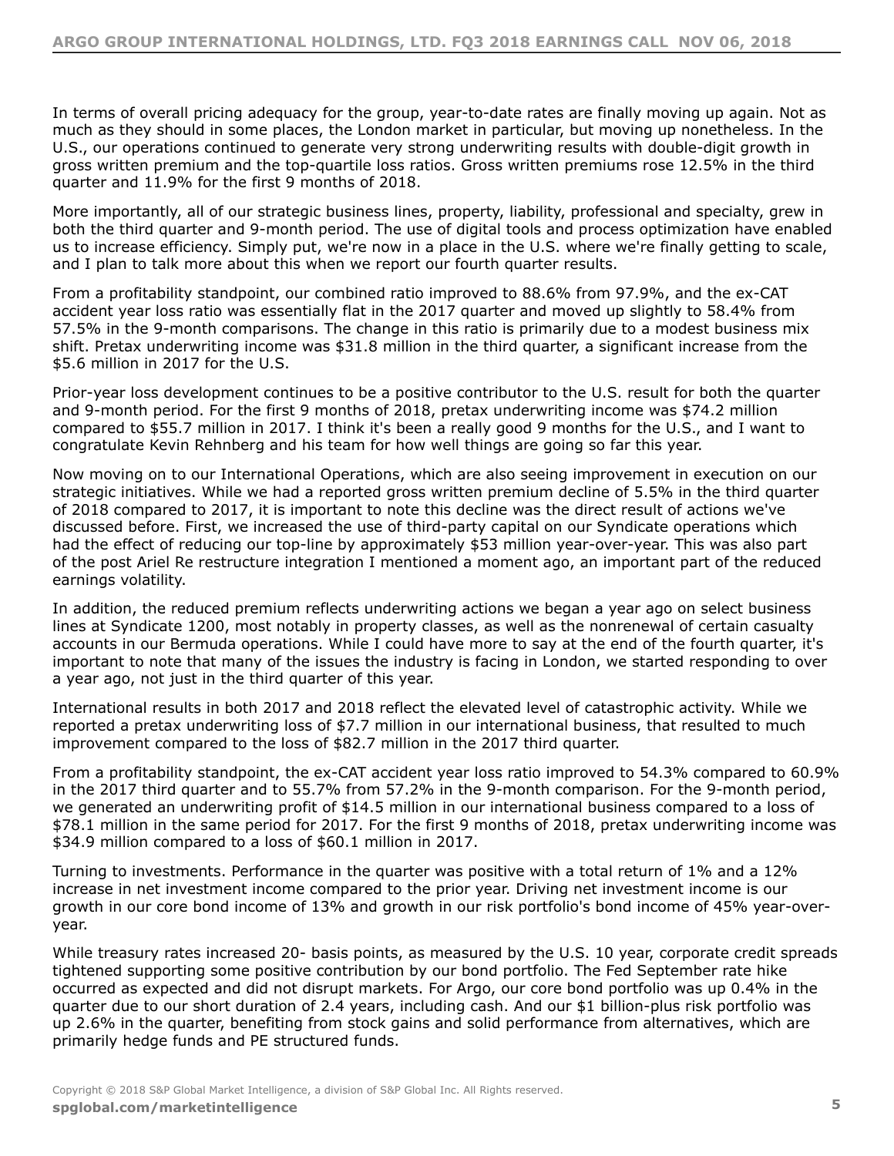In terms of overall pricing adequacy for the group, year-to-date rates are finally moving up again. Not as much as they should in some places, the London market in particular, but moving up nonetheless. In the U.S., our operations continued to generate very strong underwriting results with double-digit growth in gross written premium and the top-quartile loss ratios. Gross written premiums rose 12.5% in the third quarter and 11.9% for the first 9 months of 2018.

More importantly, all of our strategic business lines, property, liability, professional and specialty, grew in both the third quarter and 9-month period. The use of digital tools and process optimization have enabled us to increase efficiency. Simply put, we're now in a place in the U.S. where we're finally getting to scale, and I plan to talk more about this when we report our fourth quarter results.

From a profitability standpoint, our combined ratio improved to 88.6% from 97.9%, and the ex-CAT accident year loss ratio was essentially flat in the 2017 quarter and moved up slightly to 58.4% from 57.5% in the 9-month comparisons. The change in this ratio is primarily due to a modest business mix shift. Pretax underwriting income was \$31.8 million in the third quarter, a significant increase from the \$5.6 million in 2017 for the U.S.

Prior-year loss development continues to be a positive contributor to the U.S. result for both the quarter and 9-month period. For the first 9 months of 2018, pretax underwriting income was \$74.2 million compared to \$55.7 million in 2017. I think it's been a really good 9 months for the U.S., and I want to congratulate Kevin Rehnberg and his team for how well things are going so far this year.

Now moving on to our International Operations, which are also seeing improvement in execution on our strategic initiatives. While we had a reported gross written premium decline of 5.5% in the third quarter of 2018 compared to 2017, it is important to note this decline was the direct result of actions we've discussed before. First, we increased the use of third-party capital on our Syndicate operations which had the effect of reducing our top-line by approximately \$53 million year-over-year. This was also part of the post Ariel Re restructure integration I mentioned a moment ago, an important part of the reduced earnings volatility.

In addition, the reduced premium reflects underwriting actions we began a year ago on select business lines at Syndicate 1200, most notably in property classes, as well as the nonrenewal of certain casualty accounts in our Bermuda operations. While I could have more to say at the end of the fourth quarter, it's important to note that many of the issues the industry is facing in London, we started responding to over a year ago, not just in the third quarter of this year.

International results in both 2017 and 2018 reflect the elevated level of catastrophic activity. While we reported a pretax underwriting loss of \$7.7 million in our international business, that resulted to much improvement compared to the loss of \$82.7 million in the 2017 third quarter.

From a profitability standpoint, the ex-CAT accident year loss ratio improved to 54.3% compared to 60.9% in the 2017 third quarter and to 55.7% from 57.2% in the 9-month comparison. For the 9-month period, we generated an underwriting profit of \$14.5 million in our international business compared to a loss of \$78.1 million in the same period for 2017. For the first 9 months of 2018, pretax underwriting income was \$34.9 million compared to a loss of \$60.1 million in 2017.

Turning to investments. Performance in the quarter was positive with a total return of 1% and a 12% increase in net investment income compared to the prior year. Driving net investment income is our growth in our core bond income of 13% and growth in our risk portfolio's bond income of 45% year-overyear.

While treasury rates increased 20- basis points, as measured by the U.S. 10 year, corporate credit spreads tightened supporting some positive contribution by our bond portfolio. The Fed September rate hike occurred as expected and did not disrupt markets. For Argo, our core bond portfolio was up 0.4% in the quarter due to our short duration of 2.4 years, including cash. And our \$1 billion-plus risk portfolio was up 2.6% in the quarter, benefiting from stock gains and solid performance from alternatives, which are primarily hedge funds and PE structured funds.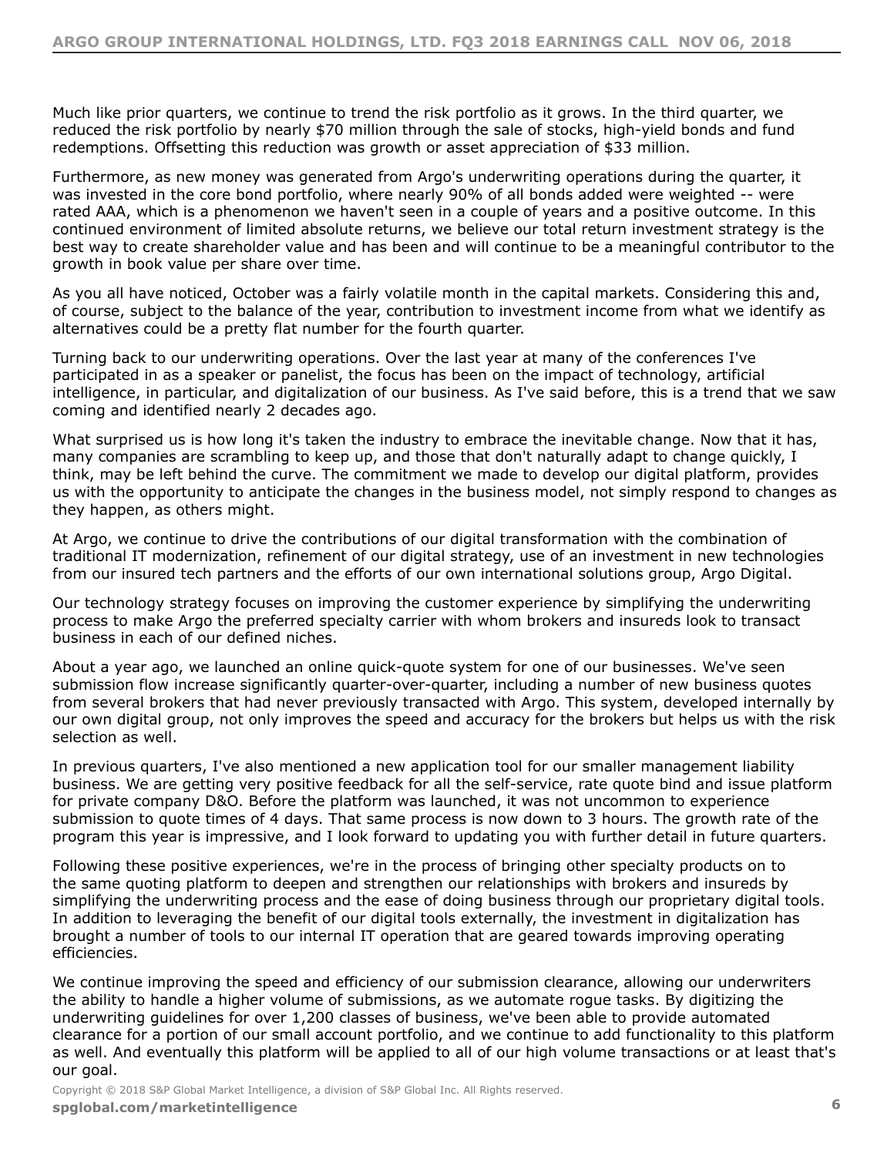Much like prior quarters, we continue to trend the risk portfolio as it grows. In the third quarter, we reduced the risk portfolio by nearly \$70 million through the sale of stocks, high-yield bonds and fund redemptions. Offsetting this reduction was growth or asset appreciation of \$33 million.

Furthermore, as new money was generated from Argo's underwriting operations during the quarter, it was invested in the core bond portfolio, where nearly 90% of all bonds added were weighted -- were rated AAA, which is a phenomenon we haven't seen in a couple of years and a positive outcome. In this continued environment of limited absolute returns, we believe our total return investment strategy is the best way to create shareholder value and has been and will continue to be a meaningful contributor to the growth in book value per share over time.

As you all have noticed, October was a fairly volatile month in the capital markets. Considering this and, of course, subject to the balance of the year, contribution to investment income from what we identify as alternatives could be a pretty flat number for the fourth quarter.

Turning back to our underwriting operations. Over the last year at many of the conferences I've participated in as a speaker or panelist, the focus has been on the impact of technology, artificial intelligence, in particular, and digitalization of our business. As I've said before, this is a trend that we saw coming and identified nearly 2 decades ago.

What surprised us is how long it's taken the industry to embrace the inevitable change. Now that it has, many companies are scrambling to keep up, and those that don't naturally adapt to change quickly, I think, may be left behind the curve. The commitment we made to develop our digital platform, provides us with the opportunity to anticipate the changes in the business model, not simply respond to changes as they happen, as others might.

At Argo, we continue to drive the contributions of our digital transformation with the combination of traditional IT modernization, refinement of our digital strategy, use of an investment in new technologies from our insured tech partners and the efforts of our own international solutions group, Argo Digital.

Our technology strategy focuses on improving the customer experience by simplifying the underwriting process to make Argo the preferred specialty carrier with whom brokers and insureds look to transact business in each of our defined niches.

About a year ago, we launched an online quick-quote system for one of our businesses. We've seen submission flow increase significantly quarter-over-quarter, including a number of new business quotes from several brokers that had never previously transacted with Argo. This system, developed internally by our own digital group, not only improves the speed and accuracy for the brokers but helps us with the risk selection as well.

In previous quarters, I've also mentioned a new application tool for our smaller management liability business. We are getting very positive feedback for all the self-service, rate quote bind and issue platform for private company D&O. Before the platform was launched, it was not uncommon to experience submission to quote times of 4 days. That same process is now down to 3 hours. The growth rate of the program this year is impressive, and I look forward to updating you with further detail in future quarters.

Following these positive experiences, we're in the process of bringing other specialty products on to the same quoting platform to deepen and strengthen our relationships with brokers and insureds by simplifying the underwriting process and the ease of doing business through our proprietary digital tools. In addition to leveraging the benefit of our digital tools externally, the investment in digitalization has brought a number of tools to our internal IT operation that are geared towards improving operating efficiencies.

We continue improving the speed and efficiency of our submission clearance, allowing our underwriters the ability to handle a higher volume of submissions, as we automate rogue tasks. By digitizing the underwriting guidelines for over 1,200 classes of business, we've been able to provide automated clearance for a portion of our small account portfolio, and we continue to add functionality to this platform as well. And eventually this platform will be applied to all of our high volume transactions or at least that's our goal.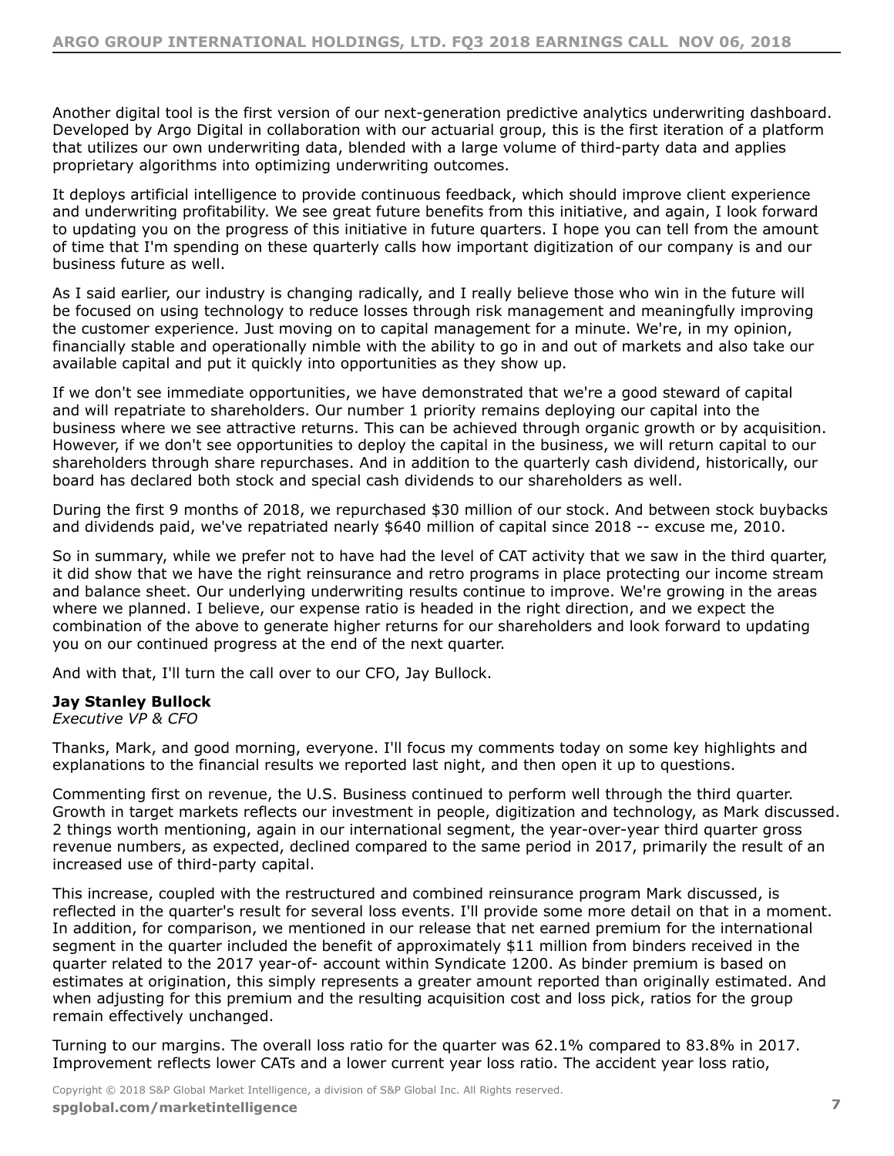Another digital tool is the first version of our next-generation predictive analytics underwriting dashboard. Developed by Argo Digital in collaboration with our actuarial group, this is the first iteration of a platform that utilizes our own underwriting data, blended with a large volume of third-party data and applies proprietary algorithms into optimizing underwriting outcomes.

It deploys artificial intelligence to provide continuous feedback, which should improve client experience and underwriting profitability. We see great future benefits from this initiative, and again, I look forward to updating you on the progress of this initiative in future quarters. I hope you can tell from the amount of time that I'm spending on these quarterly calls how important digitization of our company is and our business future as well.

As I said earlier, our industry is changing radically, and I really believe those who win in the future will be focused on using technology to reduce losses through risk management and meaningfully improving the customer experience. Just moving on to capital management for a minute. We're, in my opinion, financially stable and operationally nimble with the ability to go in and out of markets and also take our available capital and put it quickly into opportunities as they show up.

If we don't see immediate opportunities, we have demonstrated that we're a good steward of capital and will repatriate to shareholders. Our number 1 priority remains deploying our capital into the business where we see attractive returns. This can be achieved through organic growth or by acquisition. However, if we don't see opportunities to deploy the capital in the business, we will return capital to our shareholders through share repurchases. And in addition to the quarterly cash dividend, historically, our board has declared both stock and special cash dividends to our shareholders as well.

During the first 9 months of 2018, we repurchased \$30 million of our stock. And between stock buybacks and dividends paid, we've repatriated nearly \$640 million of capital since 2018 -- excuse me, 2010.

So in summary, while we prefer not to have had the level of CAT activity that we saw in the third quarter, it did show that we have the right reinsurance and retro programs in place protecting our income stream and balance sheet. Our underlying underwriting results continue to improve. We're growing in the areas where we planned. I believe, our expense ratio is headed in the right direction, and we expect the combination of the above to generate higher returns for our shareholders and look forward to updating you on our continued progress at the end of the next quarter.

And with that, I'll turn the call over to our CFO, Jay Bullock.

#### **Jay Stanley Bullock**

*Executive VP & CFO*

Thanks, Mark, and good morning, everyone. I'll focus my comments today on some key highlights and explanations to the financial results we reported last night, and then open it up to questions.

Commenting first on revenue, the U.S. Business continued to perform well through the third quarter. Growth in target markets reflects our investment in people, digitization and technology, as Mark discussed. 2 things worth mentioning, again in our international segment, the year-over-year third quarter gross revenue numbers, as expected, declined compared to the same period in 2017, primarily the result of an increased use of third-party capital.

This increase, coupled with the restructured and combined reinsurance program Mark discussed, is reflected in the quarter's result for several loss events. I'll provide some more detail on that in a moment. In addition, for comparison, we mentioned in our release that net earned premium for the international segment in the quarter included the benefit of approximately \$11 million from binders received in the quarter related to the 2017 year-of- account within Syndicate 1200. As binder premium is based on estimates at origination, this simply represents a greater amount reported than originally estimated. And when adjusting for this premium and the resulting acquisition cost and loss pick, ratios for the group remain effectively unchanged.

Turning to our margins. The overall loss ratio for the quarter was 62.1% compared to 83.8% in 2017. Improvement reflects lower CATs and a lower current year loss ratio. The accident year loss ratio,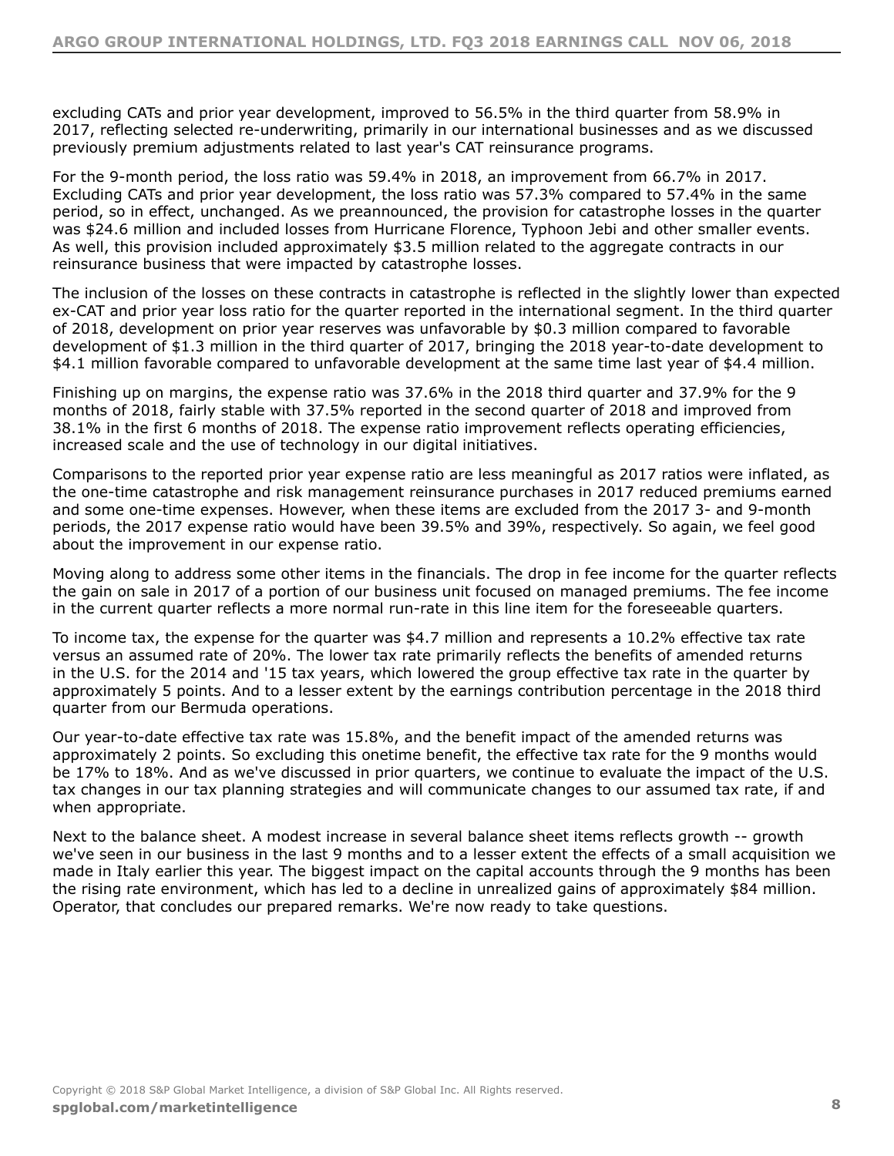excluding CATs and prior year development, improved to 56.5% in the third quarter from 58.9% in 2017, reflecting selected re-underwriting, primarily in our international businesses and as we discussed previously premium adjustments related to last year's CAT reinsurance programs.

For the 9-month period, the loss ratio was 59.4% in 2018, an improvement from 66.7% in 2017. Excluding CATs and prior year development, the loss ratio was 57.3% compared to 57.4% in the same period, so in effect, unchanged. As we preannounced, the provision for catastrophe losses in the quarter was \$24.6 million and included losses from Hurricane Florence, Typhoon Jebi and other smaller events. As well, this provision included approximately \$3.5 million related to the aggregate contracts in our reinsurance business that were impacted by catastrophe losses.

The inclusion of the losses on these contracts in catastrophe is reflected in the slightly lower than expected ex-CAT and prior year loss ratio for the quarter reported in the international segment. In the third quarter of 2018, development on prior year reserves was unfavorable by \$0.3 million compared to favorable development of \$1.3 million in the third quarter of 2017, bringing the 2018 year-to-date development to \$4.1 million favorable compared to unfavorable development at the same time last year of \$4.4 million.

Finishing up on margins, the expense ratio was 37.6% in the 2018 third quarter and 37.9% for the 9 months of 2018, fairly stable with 37.5% reported in the second quarter of 2018 and improved from 38.1% in the first 6 months of 2018. The expense ratio improvement reflects operating efficiencies, increased scale and the use of technology in our digital initiatives.

Comparisons to the reported prior year expense ratio are less meaningful as 2017 ratios were inflated, as the one-time catastrophe and risk management reinsurance purchases in 2017 reduced premiums earned and some one-time expenses. However, when these items are excluded from the 2017 3- and 9-month periods, the 2017 expense ratio would have been 39.5% and 39%, respectively. So again, we feel good about the improvement in our expense ratio.

Moving along to address some other items in the financials. The drop in fee income for the quarter reflects the gain on sale in 2017 of a portion of our business unit focused on managed premiums. The fee income in the current quarter reflects a more normal run-rate in this line item for the foreseeable quarters.

To income tax, the expense for the quarter was \$4.7 million and represents a 10.2% effective tax rate versus an assumed rate of 20%. The lower tax rate primarily reflects the benefits of amended returns in the U.S. for the 2014 and '15 tax years, which lowered the group effective tax rate in the quarter by approximately 5 points. And to a lesser extent by the earnings contribution percentage in the 2018 third quarter from our Bermuda operations.

Our year-to-date effective tax rate was 15.8%, and the benefit impact of the amended returns was approximately 2 points. So excluding this onetime benefit, the effective tax rate for the 9 months would be 17% to 18%. And as we've discussed in prior quarters, we continue to evaluate the impact of the U.S. tax changes in our tax planning strategies and will communicate changes to our assumed tax rate, if and when appropriate.

Next to the balance sheet. A modest increase in several balance sheet items reflects growth -- growth we've seen in our business in the last 9 months and to a lesser extent the effects of a small acquisition we made in Italy earlier this year. The biggest impact on the capital accounts through the 9 months has been the rising rate environment, which has led to a decline in unrealized gains of approximately \$84 million. Operator, that concludes our prepared remarks. We're now ready to take questions.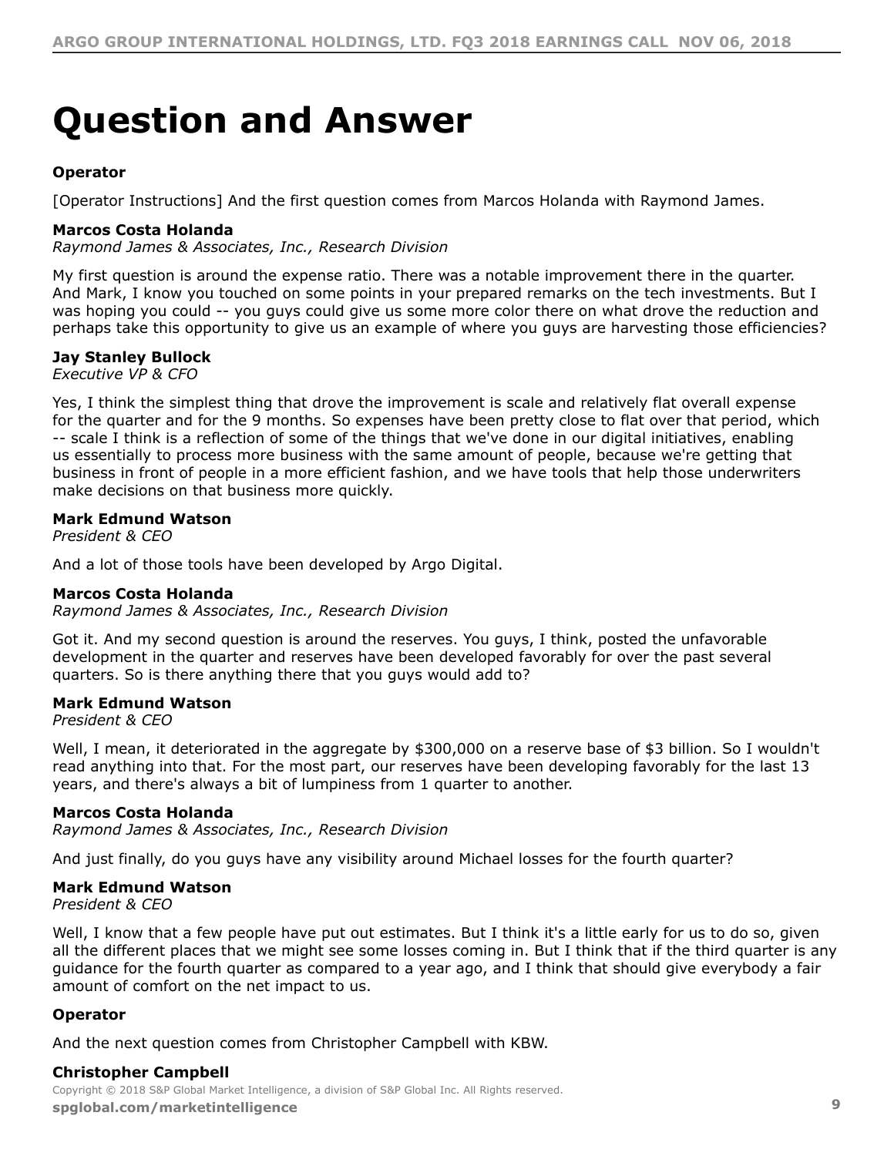## <span id="page-8-0"></span>**Question and Answer**

#### **Operator**

[Operator Instructions] And the first question comes from Marcos Holanda with Raymond James.

#### **Marcos Costa Holanda**

*Raymond James & Associates, Inc., Research Division*

My first question is around the expense ratio. There was a notable improvement there in the quarter. And Mark, I know you touched on some points in your prepared remarks on the tech investments. But I was hoping you could -- you guys could give us some more color there on what drove the reduction and perhaps take this opportunity to give us an example of where you guys are harvesting those efficiencies?

#### **Jay Stanley Bullock**

*Executive VP & CFO*

Yes, I think the simplest thing that drove the improvement is scale and relatively flat overall expense for the quarter and for the 9 months. So expenses have been pretty close to flat over that period, which -- scale I think is a reflection of some of the things that we've done in our digital initiatives, enabling us essentially to process more business with the same amount of people, because we're getting that business in front of people in a more efficient fashion, and we have tools that help those underwriters make decisions on that business more quickly.

#### **Mark Edmund Watson**

*President & CEO*

And a lot of those tools have been developed by Argo Digital.

#### **Marcos Costa Holanda**

*Raymond James & Associates, Inc., Research Division*

Got it. And my second question is around the reserves. You guys, I think, posted the unfavorable development in the quarter and reserves have been developed favorably for over the past several quarters. So is there anything there that you guys would add to?

#### **Mark Edmund Watson**

*President & CEO*

Well, I mean, it deteriorated in the aggregate by \$300,000 on a reserve base of \$3 billion. So I wouldn't read anything into that. For the most part, our reserves have been developing favorably for the last 13 years, and there's always a bit of lumpiness from 1 quarter to another.

#### **Marcos Costa Holanda**

*Raymond James & Associates, Inc., Research Division*

And just finally, do you guys have any visibility around Michael losses for the fourth quarter?

#### **Mark Edmund Watson**

*President & CEO*

Well, I know that a few people have put out estimates. But I think it's a little early for us to do so, given all the different places that we might see some losses coming in. But I think that if the third quarter is any guidance for the fourth quarter as compared to a year ago, and I think that should give everybody a fair amount of comfort on the net impact to us.

#### **Operator**

And the next question comes from Christopher Campbell with KBW.

#### **Christopher Campbell**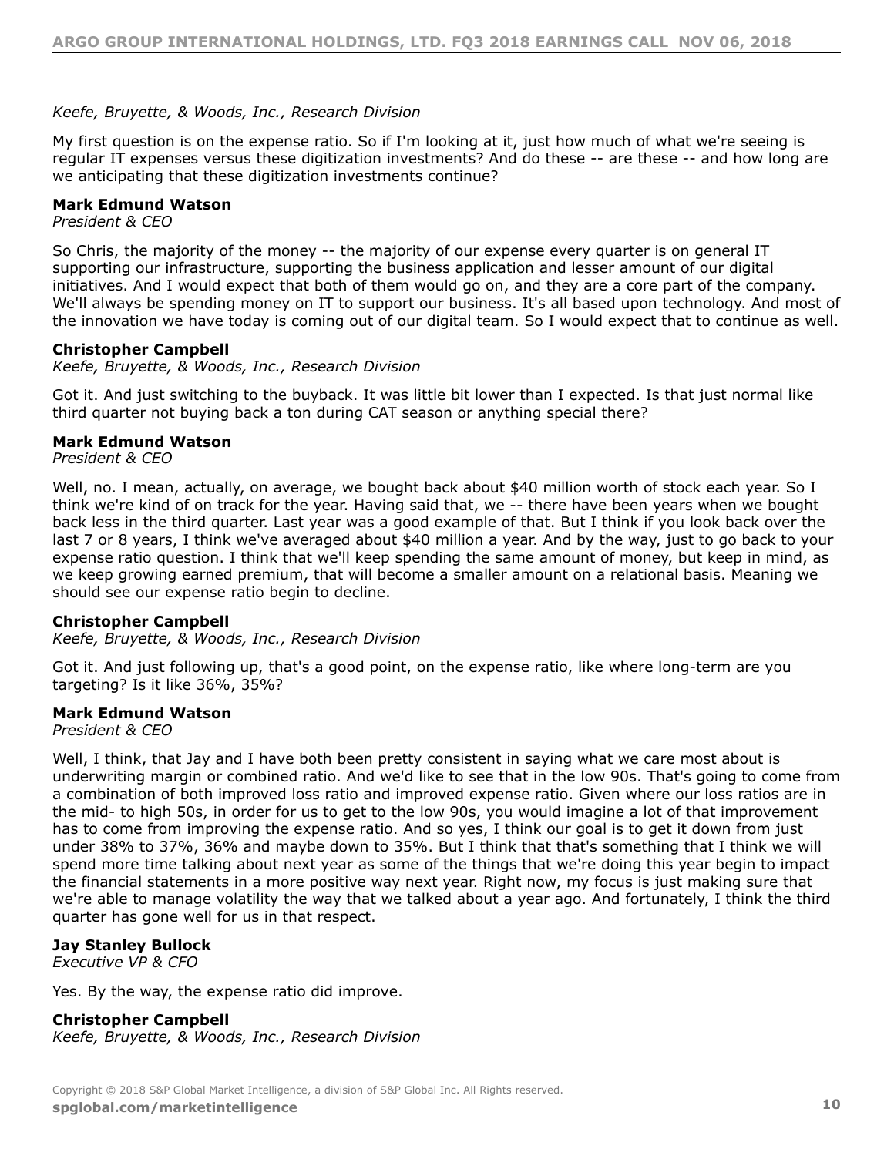#### *Keefe, Bruyette, & Woods, Inc., Research Division*

My first question is on the expense ratio. So if I'm looking at it, just how much of what we're seeing is regular IT expenses versus these digitization investments? And do these -- are these -- and how long are we anticipating that these digitization investments continue?

#### **Mark Edmund Watson**

*President & CEO*

So Chris, the majority of the money -- the majority of our expense every quarter is on general IT supporting our infrastructure, supporting the business application and lesser amount of our digital initiatives. And I would expect that both of them would go on, and they are a core part of the company. We'll always be spending money on IT to support our business. It's all based upon technology. And most of the innovation we have today is coming out of our digital team. So I would expect that to continue as well.

#### **Christopher Campbell**

*Keefe, Bruyette, & Woods, Inc., Research Division*

Got it. And just switching to the buyback. It was little bit lower than I expected. Is that just normal like third quarter not buying back a ton during CAT season or anything special there?

#### **Mark Edmund Watson**

*President & CEO*

Well, no. I mean, actually, on average, we bought back about \$40 million worth of stock each year. So I think we're kind of on track for the year. Having said that, we -- there have been years when we bought back less in the third quarter. Last year was a good example of that. But I think if you look back over the last 7 or 8 years, I think we've averaged about \$40 million a year. And by the way, just to go back to your expense ratio question. I think that we'll keep spending the same amount of money, but keep in mind, as we keep growing earned premium, that will become a smaller amount on a relational basis. Meaning we should see our expense ratio begin to decline.

#### **Christopher Campbell**

*Keefe, Bruyette, & Woods, Inc., Research Division*

Got it. And just following up, that's a good point, on the expense ratio, like where long-term are you targeting? Is it like 36%, 35%?

#### **Mark Edmund Watson**

*President & CEO*

Well, I think, that Jay and I have both been pretty consistent in saying what we care most about is underwriting margin or combined ratio. And we'd like to see that in the low 90s. That's going to come from a combination of both improved loss ratio and improved expense ratio. Given where our loss ratios are in the mid- to high 50s, in order for us to get to the low 90s, you would imagine a lot of that improvement has to come from improving the expense ratio. And so yes, I think our goal is to get it down from just under 38% to 37%, 36% and maybe down to 35%. But I think that that's something that I think we will spend more time talking about next year as some of the things that we're doing this year begin to impact the financial statements in a more positive way next year. Right now, my focus is just making sure that we're able to manage volatility the way that we talked about a year ago. And fortunately, I think the third quarter has gone well for us in that respect.

#### **Jay Stanley Bullock**

*Executive VP & CFO*

Yes. By the way, the expense ratio did improve.

#### **Christopher Campbell**

*Keefe, Bruyette, & Woods, Inc., Research Division*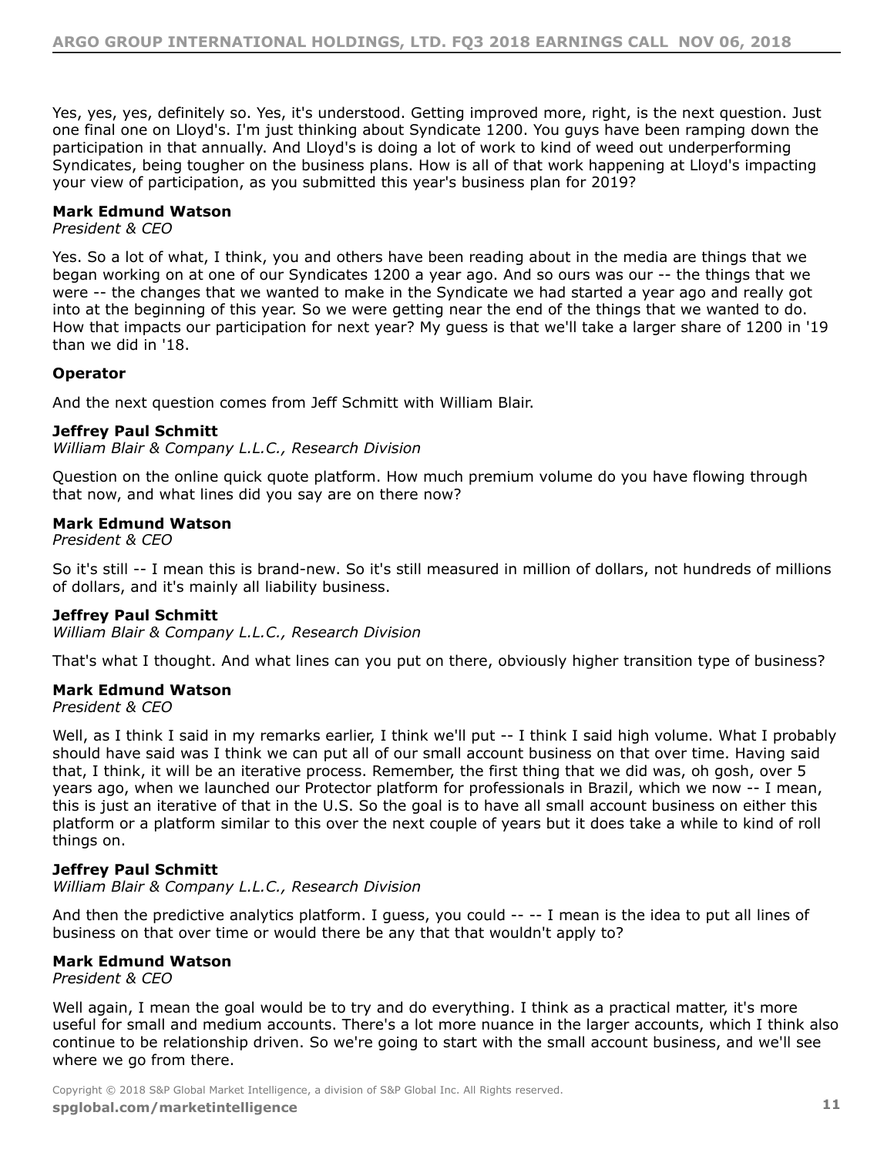Yes, yes, yes, definitely so. Yes, it's understood. Getting improved more, right, is the next question. Just one final one on Lloyd's. I'm just thinking about Syndicate 1200. You guys have been ramping down the participation in that annually. And Lloyd's is doing a lot of work to kind of weed out underperforming Syndicates, being tougher on the business plans. How is all of that work happening at Lloyd's impacting your view of participation, as you submitted this year's business plan for 2019?

#### **Mark Edmund Watson**

#### *President & CEO*

Yes. So a lot of what, I think, you and others have been reading about in the media are things that we began working on at one of our Syndicates 1200 a year ago. And so ours was our -- the things that we were -- the changes that we wanted to make in the Syndicate we had started a year ago and really got into at the beginning of this year. So we were getting near the end of the things that we wanted to do. How that impacts our participation for next year? My guess is that we'll take a larger share of 1200 in '19 than we did in '18.

#### **Operator**

And the next question comes from Jeff Schmitt with William Blair.

#### **Jeffrey Paul Schmitt**

*William Blair & Company L.L.C., Research Division*

Question on the online quick quote platform. How much premium volume do you have flowing through that now, and what lines did you say are on there now?

#### **Mark Edmund Watson**

*President & CEO*

So it's still -- I mean this is brand-new. So it's still measured in million of dollars, not hundreds of millions of dollars, and it's mainly all liability business.

#### **Jeffrey Paul Schmitt**

*William Blair & Company L.L.C., Research Division*

That's what I thought. And what lines can you put on there, obviously higher transition type of business?

#### **Mark Edmund Watson**

*President & CEO*

Well, as I think I said in my remarks earlier, I think we'll put -- I think I said high volume. What I probably should have said was I think we can put all of our small account business on that over time. Having said that, I think, it will be an iterative process. Remember, the first thing that we did was, oh gosh, over 5 years ago, when we launched our Protector platform for professionals in Brazil, which we now -- I mean, this is just an iterative of that in the U.S. So the goal is to have all small account business on either this platform or a platform similar to this over the next couple of years but it does take a while to kind of roll things on.

#### **Jeffrey Paul Schmitt**

*William Blair & Company L.L.C., Research Division*

And then the predictive analytics platform. I guess, you could -- -- I mean is the idea to put all lines of business on that over time or would there be any that that wouldn't apply to?

#### **Mark Edmund Watson**

*President & CEO*

Well again, I mean the goal would be to try and do everything. I think as a practical matter, it's more useful for small and medium accounts. There's a lot more nuance in the larger accounts, which I think also continue to be relationship driven. So we're going to start with the small account business, and we'll see where we go from there.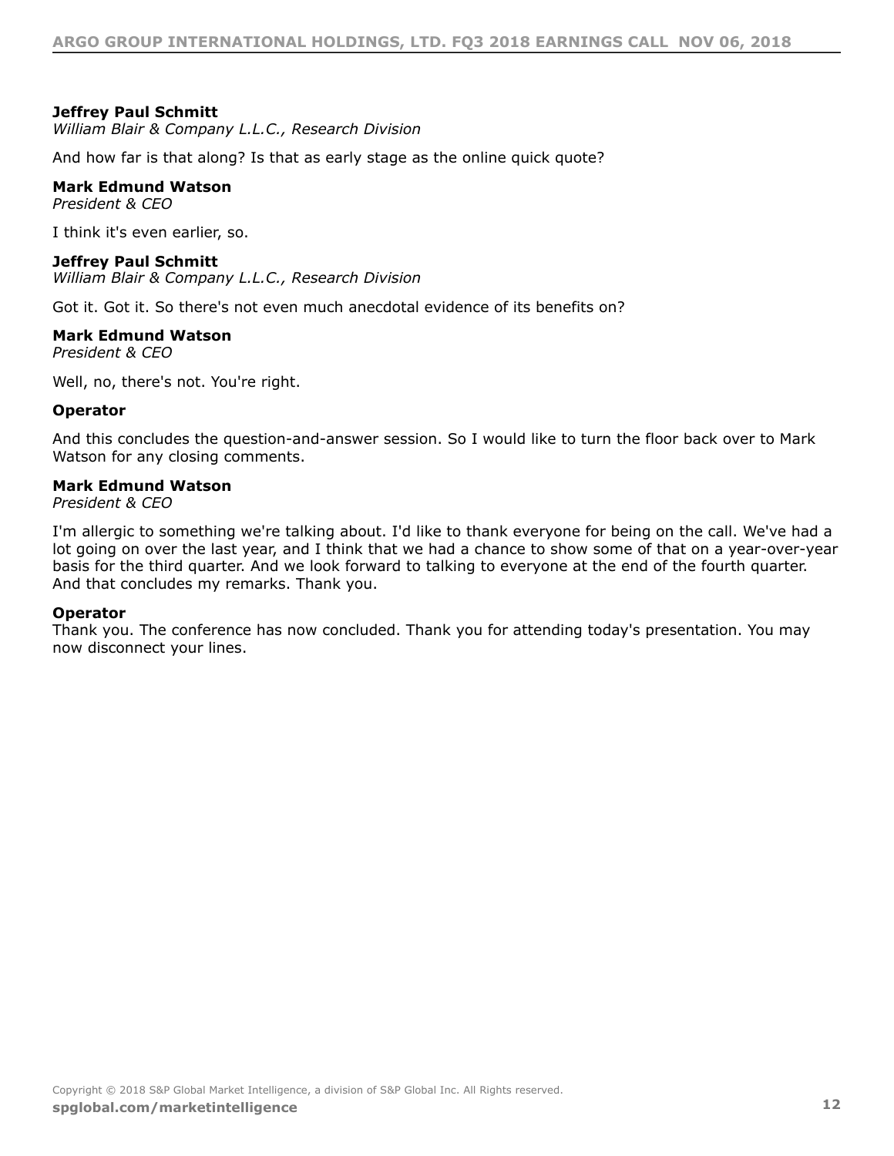#### **Jeffrey Paul Schmitt**

*William Blair & Company L.L.C., Research Division*

And how far is that along? Is that as early stage as the online quick quote?

#### **Mark Edmund Watson**

*President & CEO*

I think it's even earlier, so.

#### **Jeffrey Paul Schmitt**

*William Blair & Company L.L.C., Research Division*

Got it. Got it. So there's not even much anecdotal evidence of its benefits on?

#### **Mark Edmund Watson**

*President & CEO*

Well, no, there's not. You're right.

#### **Operator**

And this concludes the question-and-answer session. So I would like to turn the floor back over to Mark Watson for any closing comments.

#### **Mark Edmund Watson**

*President & CEO*

I'm allergic to something we're talking about. I'd like to thank everyone for being on the call. We've had a lot going on over the last year, and I think that we had a chance to show some of that on a year-over-year basis for the third quarter. And we look forward to talking to everyone at the end of the fourth quarter. And that concludes my remarks. Thank you.

#### **Operator**

Thank you. The conference has now concluded. Thank you for attending today's presentation. You may now disconnect your lines.